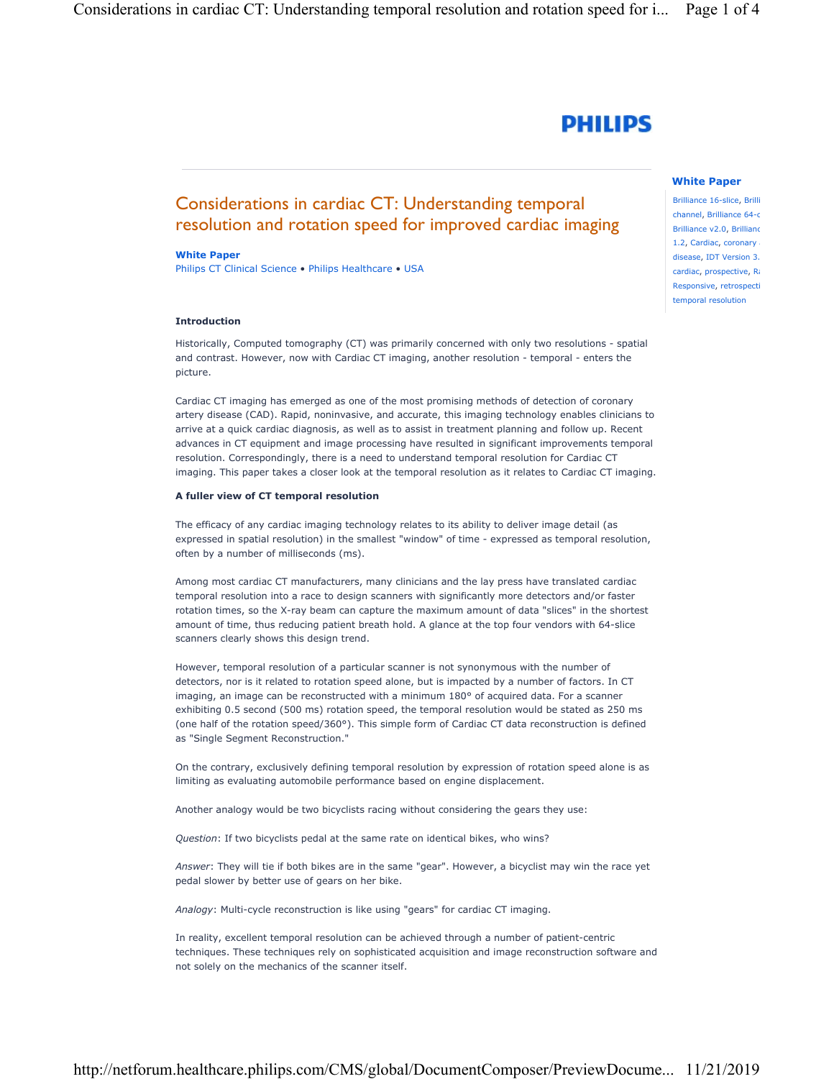# **PHILIPS**

## Considerations in cardiac CT: Understanding temporal resolution and rotation speed for improved cardiac imaging

#### White Paper

Philips CT Clinical Science • Philips Healthcare • USA

#### Introduction

Historically, Computed tomography (CT) was primarily concerned with only two resolutions - spatial and contrast. However, now with Cardiac CT imaging, another resolution - temporal - enters the picture.

Cardiac CT imaging has emerged as one of the most promising methods of detection of coronary artery disease (CAD). Rapid, noninvasive, and accurate, this imaging technology enables clinicians to arrive at a quick cardiac diagnosis, as well as to assist in treatment planning and follow up. Recent advances in CT equipment and image processing have resulted in significant improvements temporal resolution. Correspondingly, there is a need to understand temporal resolution for Cardiac CT imaging. This paper takes a closer look at the temporal resolution as it relates to Cardiac CT imaging.

### A fuller view of CT temporal resolution

The efficacy of any cardiac imaging technology relates to its ability to deliver image detail (as expressed in spatial resolution) in the smallest "window" of time - expressed as temporal resolution, often by a number of milliseconds (ms).

Among most cardiac CT manufacturers, many clinicians and the lay press have translated cardiac temporal resolution into a race to design scanners with significantly more detectors and/or faster rotation times, so the X-ray beam can capture the maximum amount of data "slices" in the shortest amount of time, thus reducing patient breath hold. A glance at the top four vendors with 64-slice scanners clearly shows this design trend.

However, temporal resolution of a particular scanner is not synonymous with the number of detectors, nor is it related to rotation speed alone, but is impacted by a number of factors. In CT imaging, an image can be reconstructed with a minimum 180° of acquired data. For a scanner exhibiting 0.5 second (500 ms) rotation speed, the temporal resolution would be stated as 250 ms (one half of the rotation speed/360°). This simple form of Cardiac CT data reconstruction is defined as "Single Segment Reconstruction."

On the contrary, exclusively defining temporal resolution by expression of rotation speed alone is as limiting as evaluating automobile performance based on engine displacement.

Another analogy would be two bicyclists racing without considering the gears they use:

Question: If two bicyclists pedal at the same rate on identical bikes, who wins?

Answer: They will tie if both bikes are in the same "gear". However, a bicyclist may win the race yet pedal slower by better use of gears on her bike.

Analogy: Multi-cycle reconstruction is like using "gears" for cardiac CT imaging.

In reality, excellent temporal resolution can be achieved through a number of patient-centric techniques. These techniques rely on sophisticated acquisition and image reconstruction software and not solely on the mechanics of the scanner itself.

# White Paper

Brilliance 16-slice, Brilli channel, Brilliance 64-c Brilliance v2.0, Brillianc 1.2, Cardiac, coronary disease, IDT Version 3.2 cardiac, prospective, Ra Responsive, retrospecti temporal resolution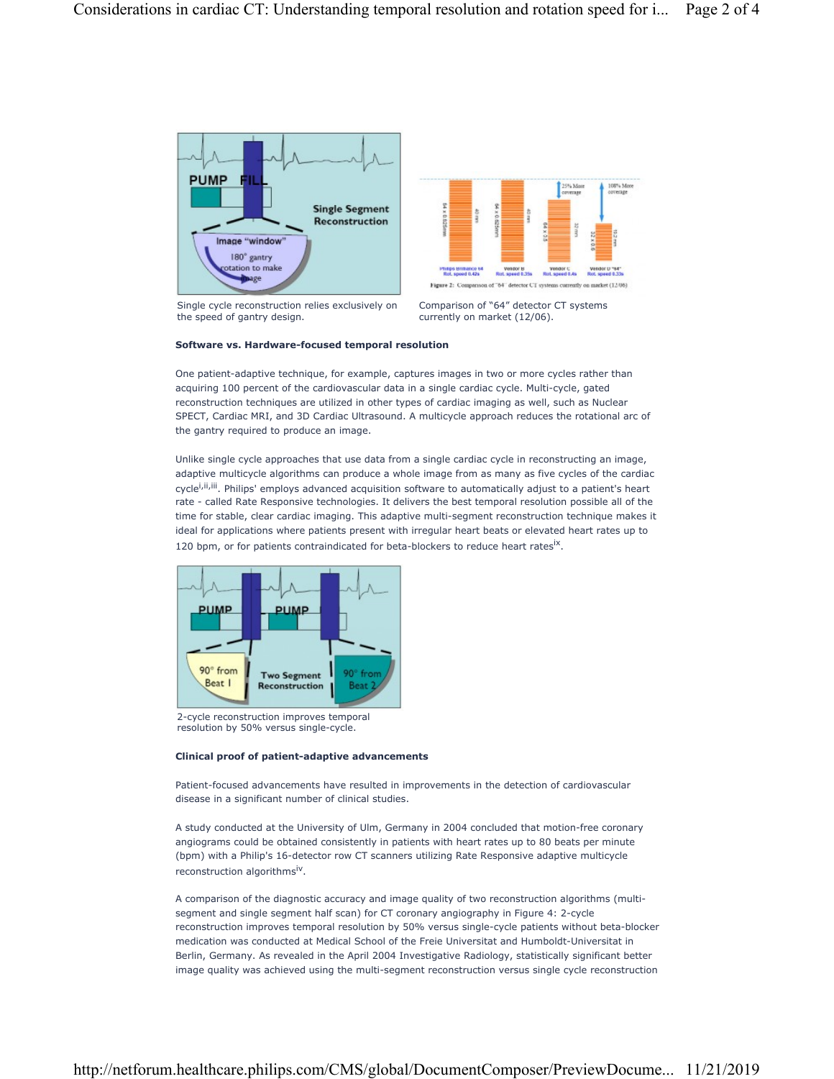



Single cycle reconstruction relies exclusively on the speed of gantry design.

Comparison of "64" detector CT systems currently on market (12/06).

#### Software vs. Hardware-focused temporal resolution

One patient-adaptive technique, for example, captures images in two or more cycles rather than acquiring 100 percent of the cardiovascular data in a single cardiac cycle. Multi-cycle, gated reconstruction techniques are utilized in other types of cardiac imaging as well, such as Nuclear SPECT, Cardiac MRI, and 3D Cardiac Ultrasound. A multicycle approach reduces the rotational arc of the gantry required to produce an image.

Unlike single cycle approaches that use data from a single cardiac cycle in reconstructing an image, adaptive multicycle algorithms can produce a whole image from as many as five cycles of the cardiac cycle<sup>i, ii, iii</sup>. Philips' employs advanced acquisition software to automatically adjust to a patient's heart rate - called Rate Responsive technologies. It delivers the best temporal resolution possible all of the time for stable, clear cardiac imaging. This adaptive multi-segment reconstruction technique makes it ideal for applications where patients present with irregular heart beats or elevated heart rates up to 120 bpm, or for patients contraindicated for beta-blockers to reduce heart rates<sup>ix</sup>.



2-cycle reconstruction improves temporal resolution by 50% versus single-cycle.

#### Clinical proof of patient-adaptive advancements

Patient-focused advancements have resulted in improvements in the detection of cardiovascular disease in a significant number of clinical studies.

A study conducted at the University of Ulm, Germany in 2004 concluded that motion-free coronary angiograms could be obtained consistently in patients with heart rates up to 80 beats per minute (bpm) with a Philip's 16-detector row CT scanners utilizing Rate Responsive adaptive multicycle reconstruction algorithms<sup>iv</sup>.

A comparison of the diagnostic accuracy and image quality of two reconstruction algorithms (multisegment and single segment half scan) for CT coronary angiography in Figure 4: 2-cycle reconstruction improves temporal resolution by 50% versus single-cycle patients without beta-blocker medication was conducted at Medical School of the Freie Universitat and Humboldt-Universitat in Berlin, Germany. As revealed in the April 2004 Investigative Radiology, statistically significant better image quality was achieved using the multi-segment reconstruction versus single cycle reconstruction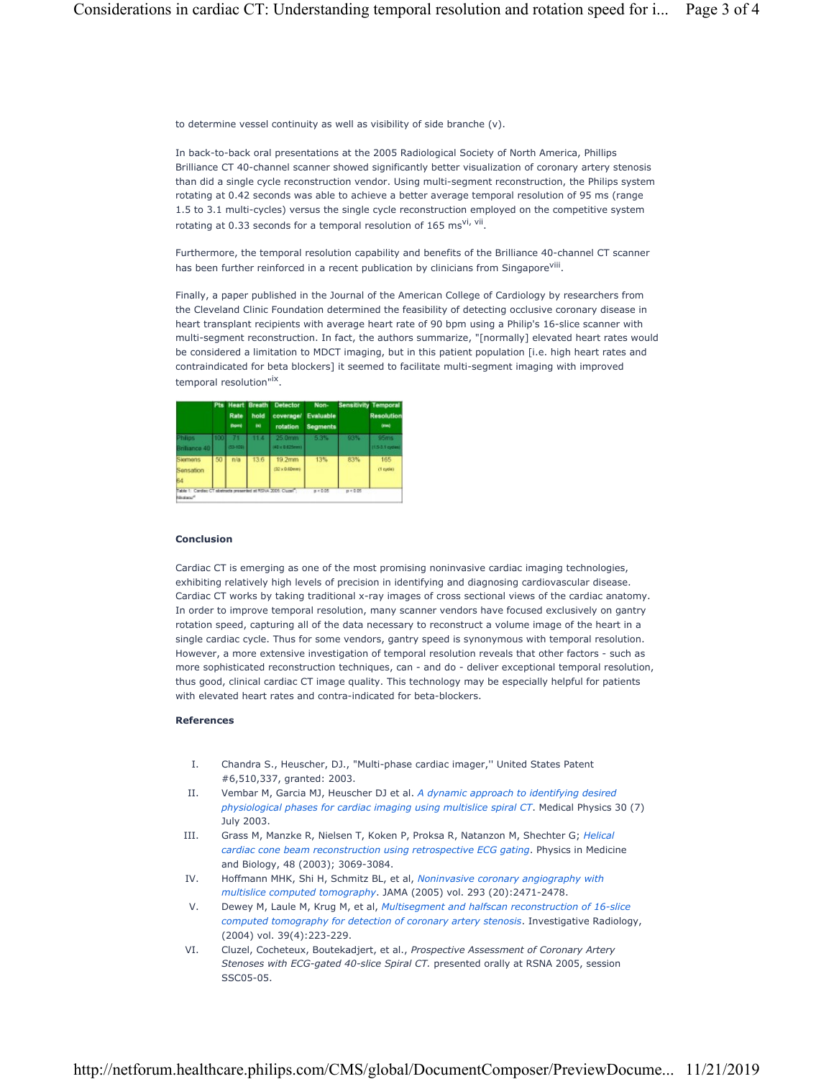to determine vessel continuity as well as visibility of side branche (v).

In back-to-back oral presentations at the 2005 Radiological Society of North America, Phillips Brilliance CT 40-channel scanner showed significantly better visualization of coronary artery stenosis than did a single cycle reconstruction vendor. Using multi-segment reconstruction, the Philips system rotating at 0.42 seconds was able to achieve a better average temporal resolution of 95 ms (range 1.5 to 3.1 multi-cycles) versus the single cycle reconstruction employed on the competitive system rotating at 0.33 seconds for a temporal resolution of 165 ms<sup>vi, vii</sup>.

Furthermore, the temporal resolution capability and benefits of the Brilliance 40-channel CT scanner has been further reinforced in a recent publication by clinicians from Singapore<sup>viii</sup>.

Finally, a paper published in the Journal of the American College of Cardiology by researchers from the Cleveland Clinic Foundation determined the feasibility of detecting occlusive coronary disease in heart transplant recipients with average heart rate of 90 bpm using a Philip's 16-slice scanner with multi-segment reconstruction. In fact, the authors summarize, "[normally] elevated heart rates would be considered a limitation to MDCT imaging, but in this patient population [i.e. high heart rates and contraindicated for beta blockers] it seemed to facilitate multi-segment imaging with improved temporal resolution"<sup>ix</sup>.

|                                                                                        |     | Rate<br>(bpm) | hold<br>(8) | Pts Heart Breath Detector<br>coverage/<br>rotation | Non-<br>Evaluable<br><b>Segments</b> |          | <b>Sensitivity Temporal</b><br><b>Resolution</b><br>(ma) |
|----------------------------------------------------------------------------------------|-----|---------------|-------------|----------------------------------------------------|--------------------------------------|----------|----------------------------------------------------------|
| <b>Philips</b><br>Brilliance 40                                                        | 100 | 70<br>83-1091 | 11.4        | 25.0mm<br>(40 x 0 625mm)                           | 5.3%                                 | 93%      | 95ms<br>1.5-3.1 cycles)                                  |
| Siemens<br>Sensation<br>64                                                             | 50  | n/a           | 13.6        | 19.2mm<br>$(32 \times 0.60$ mmi-                   | 13%                                  | 83%      | 165<br>$(1$ cycle $)$                                    |
| Table 1: Cardiac CT abstracts presented at RSNA 2005. Cluzer -<br>Michael <sup>4</sup> |     |               |             |                                                    | $B = 0.05$                           | p < 0.05 |                                                          |

#### Conclusion

Cardiac CT is emerging as one of the most promising noninvasive cardiac imaging technologies, exhibiting relatively high levels of precision in identifying and diagnosing cardiovascular disease. Cardiac CT works by taking traditional x-ray images of cross sectional views of the cardiac anatomy. In order to improve temporal resolution, many scanner vendors have focused exclusively on gantry rotation speed, capturing all of the data necessary to reconstruct a volume image of the heart in a single cardiac cycle. Thus for some vendors, gantry speed is synonymous with temporal resolution. However, a more extensive investigation of temporal resolution reveals that other factors - such as more sophisticated reconstruction techniques, can - and do - deliver exceptional temporal resolution, thus good, clinical cardiac CT image quality. This technology may be especially helpful for patients with elevated heart rates and contra-indicated for beta-blockers.

#### References

- I. Chandra S., Heuscher, DJ., "Multi-phase cardiac imager,'' United States Patent #6,510,337, granted: 2003.
- II. Vembar M, Garcia MJ, Heuscher DJ et al. A dynamic approach to identifying desired physiological phases for cardiac imaging using multislice spiral CT. Medical Physics 30 (7) July 2003.
- III. Grass M, Manzke R, Nielsen T, Koken P, Proksa R, Natanzon M, Shechter G; Helical cardiac cone beam reconstruction using retrospective ECG gating. Physics in Medicine and Biology, 48 (2003); 3069-3084.
- IV. Hoffmann MHK, Shi H, Schmitz BL, et al, Noninvasive coronary angiography with multislice computed tomography. JAMA (2005) vol. 293 (20):2471-2478.
- V. Dewey M, Laule M, Krug M, et al, Multisegment and halfscan reconstruction of 16-slice computed tomography for detection of coronary artery stenosis. Investigative Radiology, (2004) vol. 39(4):223-229.
- VI. Cluzel, Cocheteux, Boutekadjert, et al., Prospective Assessment of Coronary Artery Stenoses with ECG-gated 40-slice Spiral CT. presented orally at RSNA 2005, session SSC05-05.